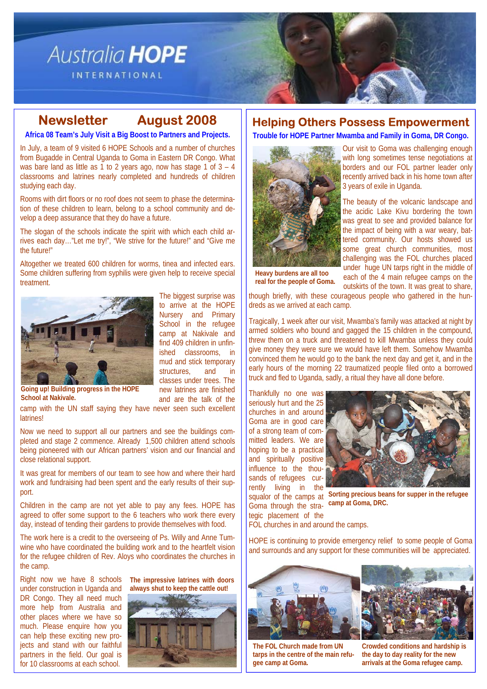# Australia HOPE

**INTERNATIONAL** 

# **Newsletter August 2008**

**Africa 08 Team's July Visit a Big Boost to Partners and Projects.** 

In July, a team of 9 visited 6 HOPE Schools and a number of churches from Bugadde in Central Uganda to Goma in Eastern DR Congo. What was bare land as little as 1 to 2 years ago, now has stage 1 of  $3 - 4$ classrooms and latrines nearly completed and hundreds of children studying each day.

Rooms with dirt floors or no roof does not seem to phase the determination of these children to learn, belong to a school community and develop a deep assurance that they do have a future.

The slogan of the schools indicate the spirit with which each child arrives each day…"Let me try!", "We strive for the future!" and "Give me the future!"

Altogether we treated 600 children for worms, tinea and infected ears. Some children suffering from syphilis were given help to receive special treatment.



The biggest surprise was to arrive at the HOPE Nursery and Primary School in the refugee camp at Nakivale and find 409 children in unfinished classrooms, in mud and stick temporary structures, and in classes under trees. The new latrines are finished and are the talk of the

**Going up! Building progress in the HOPE School at Nakivale.** 

camp with the UN staff saying they have never seen such excellent **latrines!** 

Now we need to support all our partners and see the buildings completed and stage 2 commence. Already 1,500 children attend schools being pioneered with our African partners' vision and our financial and close relational support.

It was great for members of our team to see how and where their hard work and fundraising had been spent and the early results of their support.

Children in the camp are not yet able to pay any fees. HOPE has agreed to offer some support to the 6 teachers who work there every day, instead of tending their gardens to provide themselves with food.

The work here is a credit to the overseeing of Ps. Willy and Anne Tumwine who have coordinated the building work and to the heartfelt vision for the refugee children of Rev. Aloys who coordinates the churches in the camp.

Right now we have 8 schools under construction in Uganda and DR Congo. They all need much more help from Australia and other places where we have so much. Please enquire how you can help these exciting new projects and stand with our faithful partners in the field. Our goal is for 10 classrooms at each school.



**The impressive latrines with doors** 

# **Helping Others Possess Empowerment**

**Trouble for HOPE Partner Mwamba and Family in Goma, DR Congo.** 



Our visit to Goma was challenging enough with long sometimes tense negotiations at borders and our FOL partner leader only recently arrived back in his home town after 3 years of exile in Uganda.

The beauty of the volcanic landscape and the acidic Lake Kivu bordering the town was great to see and provided balance for the impact of being with a war weary, battered community. Our hosts showed us some great church communities, most challenging was the FOL churches placed under huge UN tarps right in the middle of each of the 4 main refugee camps on the

**Heavy burdens are all too real for the people of Goma.** 

outskirts of the town. It was great to share, though briefly, with these courageous people who gathered in the hundreds as we arrived at each camp.

Tragically, 1 week after our visit, Mwamba's family was attacked at night by armed soldiers who bound and gagged the 15 children in the compound, threw them on a truck and threatened to kill Mwamba unless they could give money they were sure we would have left them. Somehow Mwamba convinced them he would go to the bank the next day and get it, and in the early hours of the morning 22 traumatized people filed onto a borrowed truck and fled to Uganda, sadly, a ritual they have all done before.

Thankfully no one was seriously hurt and the 25 churches in and around Goma are in good care of a strong team of committed leaders. We are hoping to be a practical and spiritually positive influence to the thousands of refugees currently living in the Goma through the stra-

tegic placement of the



squalor of the camps at **Sorting precious beans for supper in the refugee camp at Goma, DRC.** 

FOL churches in and around the camps.

HOPE is continuing to provide emergency relief to some people of Goma and surrounds and any support for these communities will be appreciated.



**The FOL Church made from UN tarps in the centre of the main refugee camp at Goma.** 



**Crowded conditions and hardship is the day to day reality for the new arrivals at the Goma refugee camp.**